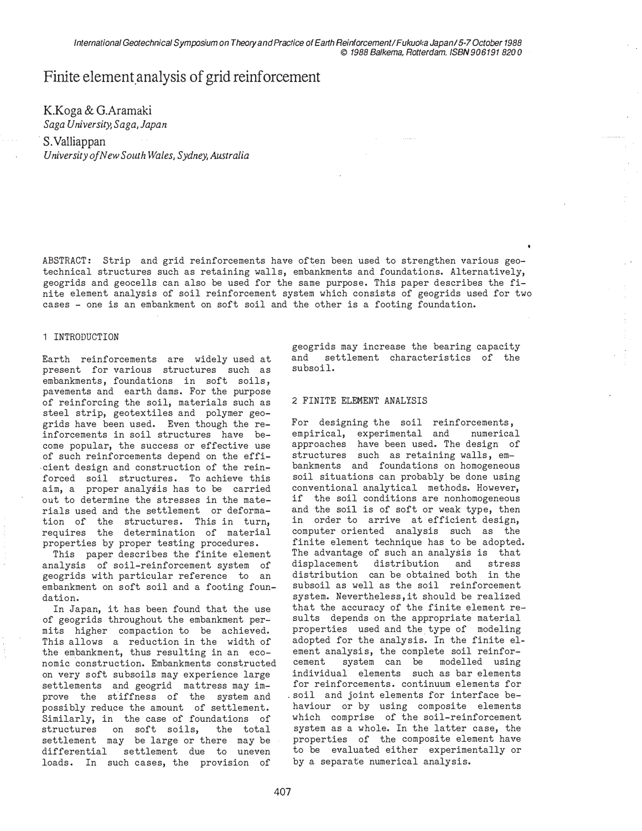# Finite element analysis of grid reinforcement

K.Koga & G.Aramaki Saga University, Saga, Japan

S. Valliappan University of New South Wales, Sydney, Australia

ABSTRACT: Strip and grid reinforcements have often been used to strengthen various geotechnical structures such as retaining walls, embankments and foundations. Alternatively, geogrids and geocells can also be used for the same purpose. This paper describes the finite element analysis of soil reinforcement system which consists of geogrids used for two cases - one is an embankment on soft soil and the other is a footing foundation.

## 1 INTRODUCTION

Earth reinforcements are widely used at present for various structures such as embankments, foundations in soft soils, pavements and earth dams. For the purpose of reinforcing the soil, materials such as steel strip, geotextiles and polymer geogrids have been used. Even though the reinforcements in soil structures have become popular, the success or effective use of such reinforcements depend on the efficient design and construction of the reinforced soil structures. To achieve this aim, a proper analysis has to be carried out to determine the stresses in the materials used and the settlement or deformation of the structures. This in turn, requires the determination of material properties by proper testing procedures.

This paper describes the finite element analysis of soil-reinforcement system of geogrids with particular reference to an embankment on soft soil and a footing foundation.

In Japan, it has been found that the use of geogrids throughout the embankment permits higher compaction to be achieved. This allows a reduction in the width of the embankment, thus resulting in an economic construction. Embankments constructed on very soft subsoils may experience large settlements and geogrid mattress may im-<br>prove the stiffness of the system and possibly reduce the amount of settlement. Similarly, in the case of foundations of structures on soft soils, the total settlement may be large or there may be differential settlement due to uneven loads. In such cases, the provision of

geogrids may increase the bearing capacity and settlement characteristics of the subsoil.

## 2 FINITE ELEMENT ANALYSIS

For designing the soil reinforcements, empirical, experimental and numerical approaches have been used. The design of structures such as retaining walls, embankments and foundations on homogeneous soil situations can probably be done using conventional analytical methods. However, if the soil conditions are nonhomogeneous and the soil is of soft or weak type, then in order to arrive at efficient design, computer oriented analysis such as the finite element technique has to be adopted. The advantage of such an analysis is that displacement distribution and stress<br>distribution can be obtained both in the subsoil as well as the soil reinforcement system. Nevertheless, it should be realized that the accuracy of the finite element results depends on the appropriate material properties used and the type of modeling adopted for the analysis. In the finite element analysis, the complete soil reinforcement system can be modelled using individual elements such as bar elements for reinforcements. continuum elements for . soil and joint elements for interface behaviour or by using composite elements which comprise of the soil-reinforcement system as a whole. In the latter case, the properties of the composite element have to be evaluated either experimentally or by a separate numerical analysis.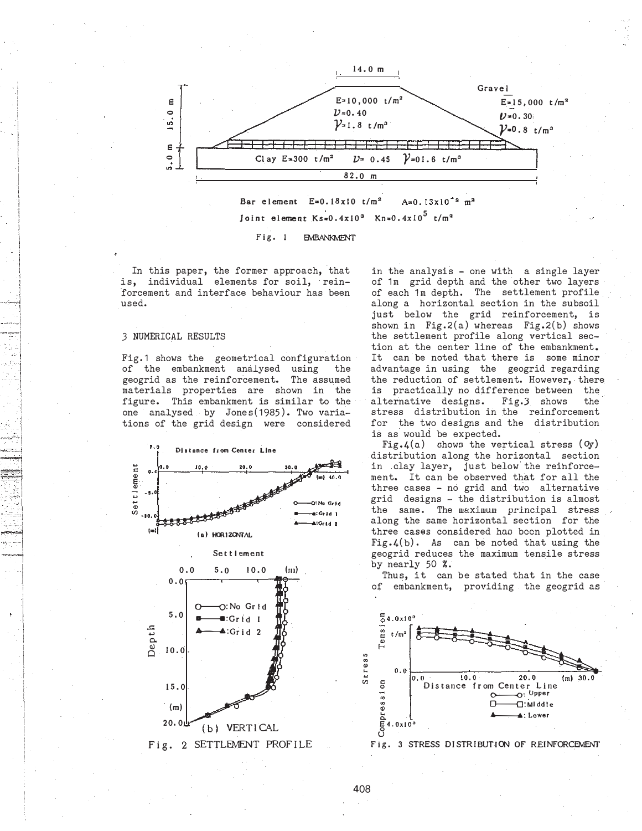

Joint element  $Ks=0.4x10^3$   $Kn=0.4x10^5$  t/m<sup>2</sup>

**EMBANKMENT** Fig. 1

In this paper, the former approach, that is, individual elements for soil, reinforcement and interface behaviour has been used.

## 3 NUMERICAL RESULTS

ಞ್|<br>' َ㜔 ⾮㜔

> ⣋㜔 ϐϑദധ ਆ᪃ ᱱ㜔 Ȱ⣋㜔 㜔

༇Ϧ᪃ ֗দྴ Fig.1 shows the geometrical configuration of the embankment analysed using the geogrid as the reinforcement. The assumed materials properties are shown in the figure. This embankment is similar to the one analysed by Jones(1985). Two variations of the grid design were considered



in the analysis - one with a single layer of 1m grid depth and the other two layers of each 1m depth. The settlement profile along a horizontal section in the subsoil just below the grid reinforcement, is shown in  ${\rm Fig. 2(a)}$  whereas  ${\rm Fig. 2(b)}$  shows the settlement profile along vertical section at the center line of the embankment. It can be noted that there is some minor advantage in using the geogrid regarding the reduction of settlement. However, there is practically no difference between the alternative designs. Fig.3 shows the stress distribution in the reinforcement for the two designs and the distribution is as would be expected.

 ${\rm Fig.4(a)}$  shows the vertical stress  $(0, y)$ distribution along the horizontal section in clay layer, just below the reinforcement. It can be observed that for all the three cases - no grid and two alternative grid designs - the distribution is almost the same. The maximum principal stress along the same horizontal section for the three cases considered has been plotted in Fig.4(b). As can be noted that using the geogrid reduces the maximum tensile stress by nearly 50  $\%$ .

Thus, it can be stated that in the case of embankment, providing the geogrid as

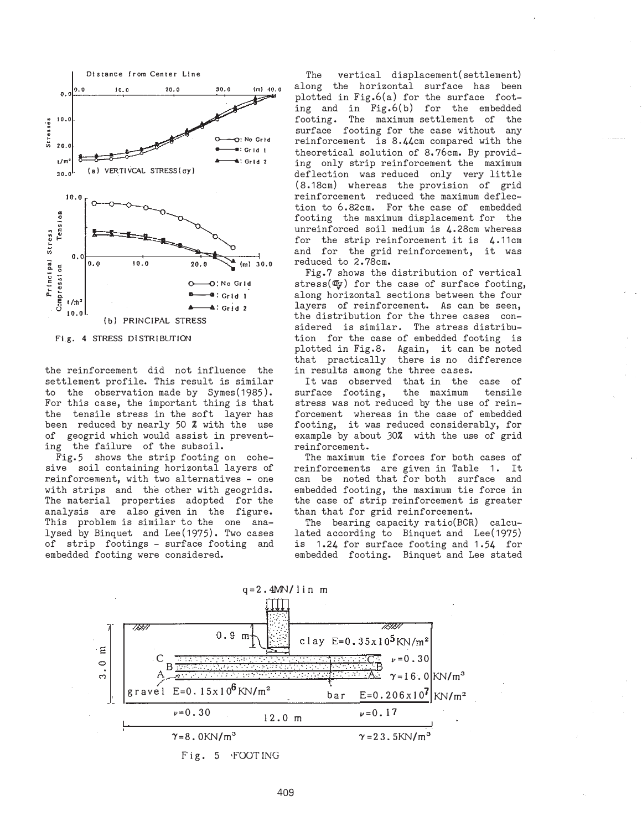

#### Fig. 4 STRESS DISTRIBUTION

the reinforcement did not influence the settlement profile. This result is similar to the observation made by Symes(1985). For this case, the important thing is that the tensile stress in the soft layer has been reduced by nearly 50 % with the use of geogrid which would assist in preventing the failure of the subsoil.

Fig.5 shows the strip footing on cohesive soil containing horizontal layers of reinforcement, with two alternatives - one with strips and the other with geogrids. The material properties adopted for the analysis are also given in the figure. This problem is similar to the one analysed by Binquet and Lee(1975). Two cases of strip footings - surface footing and embedded footing were considered.

vertical displacement(settlement) The along the horizontal surface has been plotted in Fig.6(a) for the surface footing and in Fig.6(b) for the embedded footing. The maximum settlement of the surface footing for the case without any reinforcement is 8.44cm compared with the theoretical solution of 8.76cm. By providing only strip reinforcement the maximum deflection was reduced only very little (8.18cm) whereas the provision of grid reinforcement reduced the maximum deflection to 6.82cm. For the case of embedded footing the maximum displacement for the unreinforced soil medium is 4.28cm whereas for the strip reinforcement it is 4.11cm and for the grid reinforcement, it was reduced to 2.78cm.

Fig.7 shows the distribution of vertical stress(@y) for the case of surface footing, along horizontal sections between the four layers of reinforcement. As can be seen, the distribution for the three cases considered is similar. The stress distribution for the case of embedded footing is plotted in Fig.8. Again, it can be noted that practically there is no difference in results among the three cases.

It was observed that in the case of surface footing, the maximum tensile stress was not reduced by the use of reinforcement whereas in the case of embedded footing, it was reduced considerably, for example by about 30% with the use of grid reinforcement.

The maximum tie forces for both cases of reinforcements are given in Table 1. It can be noted that for both surface and embedded footing, the maximum tie force in the case of strip reinforcement is greater than that for grid reinforcement.

The bearing capacity ratio(BCR) calculated according to Binquet and Lee(1975) is 1.24 for surface footing and 1.54 for embedded footing. Binquet and Lee stated



409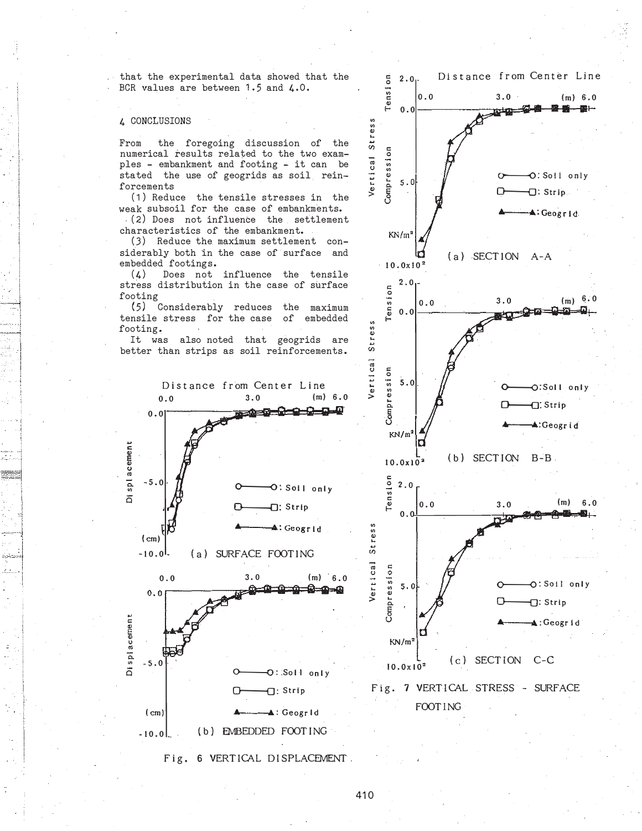that the experimental data showed that the BCR values are between 1.5 and 4.0.

## 4 CONCLUSIONS

 $\epsilon^{-1}$ 

3753

From the foregoing discussion of the numerical results related to the two examples – embankment and footing – it can be stated the use of geogrids as soil reinforcements

 $(1)$  Reduce the tensile stresses in the weak subsoil for the case of embankments. (2) Does not influence the settlement characteristics of the embankment.

(3) Reduce the maximum settlement considerably both in the case of surface and embedded footings.

 $(4)$  Does not influence the tensile stress distribution in the case of surface footing

(5) Considerably reduces the maximum tensile stress for the case of embedded footing.

It was also noted that geogrids are better than strips as soil reinforcements.



Fig. 6 VERTICAL DISPLACEMENT

-10.01